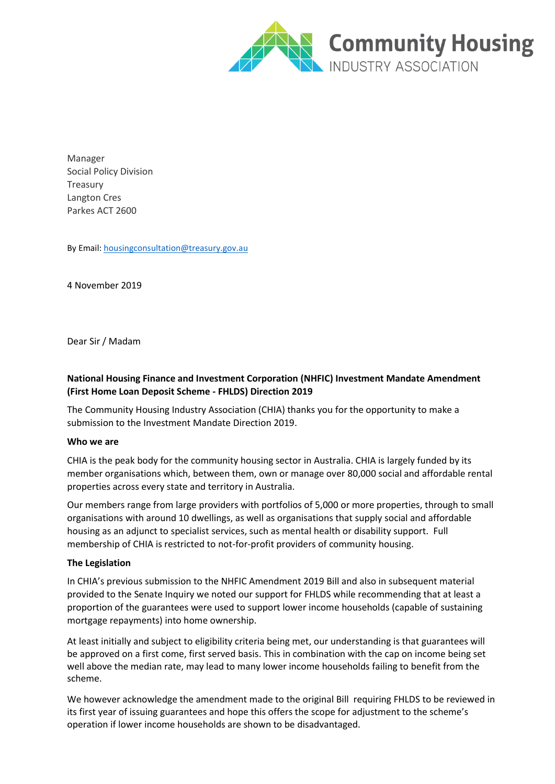

Manager Social Policy Division Treasury Langton Cres Parkes ACT 2600

By Email[: housingconsultation@treasury.gov.au](mailto:housingconsultation@treasury.gov.au)

4 November 2019

Dear Sir / Madam

## **National Housing Finance and Investment Corporation (NHFIC) Investment Mandate Amendment (First Home Loan Deposit Scheme - FHLDS) Direction 2019**

The Community Housing Industry Association (CHIA) thanks you for the opportunity to make a submission to the Investment Mandate Direction 2019.

## **Who we are**

CHIA is the peak body for the community housing sector in Australia. CHIA is largely funded by its member organisations which, between them, own or manage over 80,000 social and affordable rental properties across every state and territory in Australia.

Our members range from large providers with portfolios of 5,000 or more properties, through to small organisations with around 10 dwellings, as well as organisations that supply social and affordable housing as an adjunct to specialist services, such as mental health or disability support. Full membership of CHIA is restricted to not-for-profit providers of community housing.

## **The Legislation**

In CHIA's previous submission to the NHFIC Amendment 2019 Bill and also in subsequent material provided to the Senate Inquiry we noted our support for FHLDS while recommending that at least a proportion of the guarantees were used to support lower income households (capable of sustaining mortgage repayments) into home ownership.

At least initially and subject to eligibility criteria being met, our understanding is that guarantees will be approved on a first come, first served basis. This in combination with the cap on income being set well above the median rate, may lead to many lower income households failing to benefit from the scheme.

We however acknowledge the amendment made to the original Bill requiring FHLDS to be reviewed in its first year of issuing guarantees and hope this offers the scope for adjustment to the scheme's operation if lower income households are shown to be disadvantaged.